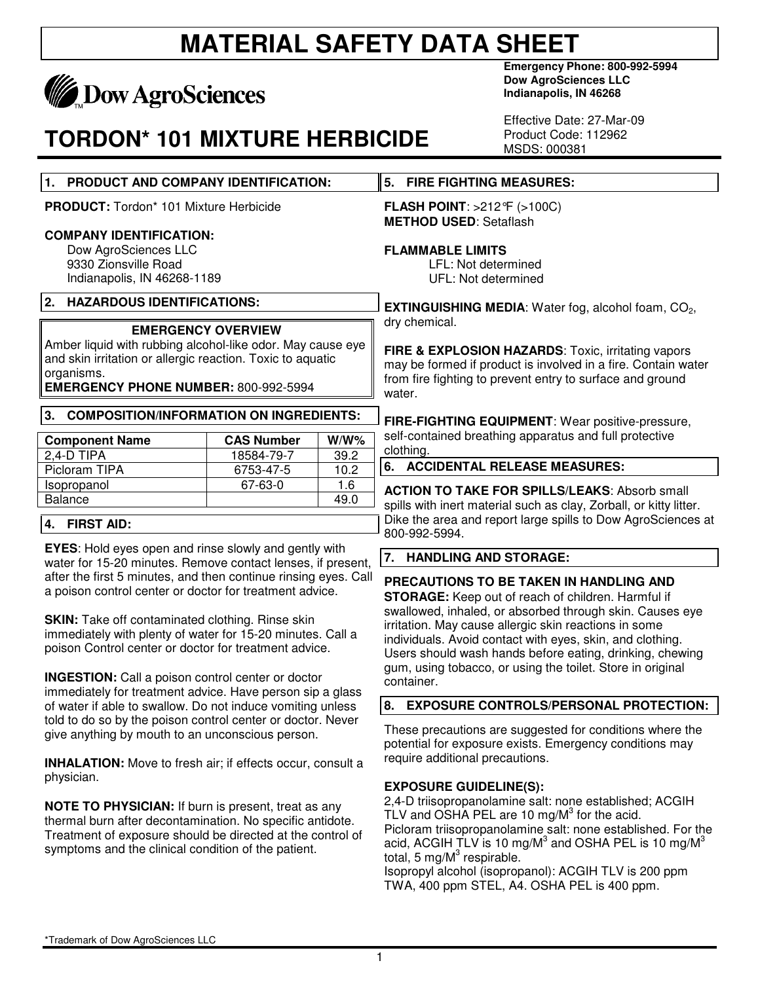

## **TORDON\* 101 MIXTURE HERBICIDE**

**Emergency Phone: 800-992-5994 Dow AgroSciences LLC Indianapolis, IN 46268** 

Effective Date: 27-Mar-09 Product Code: 112962 MSDS: 000381

|                                                                                                                                                                                                                                                                                                                                                                                                                                                                                                                                                                                                                                                                                                                                                                                                                                                                                                                                                    |                         |              | טטטט. טעטווו                                                                                                                                                                                                                                                                                                                                                                                                                        |  |
|----------------------------------------------------------------------------------------------------------------------------------------------------------------------------------------------------------------------------------------------------------------------------------------------------------------------------------------------------------------------------------------------------------------------------------------------------------------------------------------------------------------------------------------------------------------------------------------------------------------------------------------------------------------------------------------------------------------------------------------------------------------------------------------------------------------------------------------------------------------------------------------------------------------------------------------------------|-------------------------|--------------|-------------------------------------------------------------------------------------------------------------------------------------------------------------------------------------------------------------------------------------------------------------------------------------------------------------------------------------------------------------------------------------------------------------------------------------|--|
| PRODUCT AND COMPANY IDENTIFICATION:<br>1.                                                                                                                                                                                                                                                                                                                                                                                                                                                                                                                                                                                                                                                                                                                                                                                                                                                                                                          |                         |              | <b>FIRE FIGHTING MEASURES:</b><br>5.                                                                                                                                                                                                                                                                                                                                                                                                |  |
| <b>PRODUCT:</b> Tordon* 101 Mixture Herbicide                                                                                                                                                                                                                                                                                                                                                                                                                                                                                                                                                                                                                                                                                                                                                                                                                                                                                                      |                         |              | <b>FLASH POINT: &gt;212 °F (&gt;100C)</b>                                                                                                                                                                                                                                                                                                                                                                                           |  |
| <b>COMPANY IDENTIFICATION:</b><br>Dow AgroSciences LLC<br>9330 Zionsville Road<br>Indianapolis, IN 46268-1189                                                                                                                                                                                                                                                                                                                                                                                                                                                                                                                                                                                                                                                                                                                                                                                                                                      |                         |              | <b>METHOD USED: Setaflash</b><br><b>FLAMMABLE LIMITS</b><br>LFL: Not determined<br>UFL: Not determined                                                                                                                                                                                                                                                                                                                              |  |
| 2.<br><b>HAZARDOUS IDENTIFICATIONS:</b>                                                                                                                                                                                                                                                                                                                                                                                                                                                                                                                                                                                                                                                                                                                                                                                                                                                                                                            |                         |              | <b>EXTINGUISHING MEDIA:</b> Water fog, alcohol foam, $CO2$ ,                                                                                                                                                                                                                                                                                                                                                                        |  |
| <b>EMERGENCY OVERVIEW</b><br>Amber liquid with rubbing alcohol-like odor. May cause eye<br>and skin irritation or allergic reaction. Toxic to aquatic<br>organisms.<br><b>EMERGENCY PHONE NUMBER: 800-992-5994</b>                                                                                                                                                                                                                                                                                                                                                                                                                                                                                                                                                                                                                                                                                                                                 |                         |              | dry chemical.<br>FIRE & EXPLOSION HAZARDS: Toxic, irritating vapors<br>may be formed if product is involved in a fire. Contain water<br>from fire fighting to prevent entry to surface and ground<br>water.                                                                                                                                                                                                                         |  |
| <b>COMPOSITION/INFORMATION ON INGREDIENTS:</b><br>3.                                                                                                                                                                                                                                                                                                                                                                                                                                                                                                                                                                                                                                                                                                                                                                                                                                                                                               |                         |              | FIRE-FIGHTING EQUIPMENT: Wear positive-pressure,                                                                                                                                                                                                                                                                                                                                                                                    |  |
| <b>Component Name</b><br>$2,4-D$ TIPA                                                                                                                                                                                                                                                                                                                                                                                                                                                                                                                                                                                                                                                                                                                                                                                                                                                                                                              | <b>CAS Number</b>       | $W/W\%$      | self-contained breathing apparatus and full protective<br>clothing.                                                                                                                                                                                                                                                                                                                                                                 |  |
| Picloram TIPA                                                                                                                                                                                                                                                                                                                                                                                                                                                                                                                                                                                                                                                                                                                                                                                                                                                                                                                                      | 18584-79-7<br>6753-47-5 | 39.2<br>10.2 | <b>ACCIDENTAL RELEASE MEASURES:</b><br>6.                                                                                                                                                                                                                                                                                                                                                                                           |  |
| Isopropanol<br><b>Balance</b>                                                                                                                                                                                                                                                                                                                                                                                                                                                                                                                                                                                                                                                                                                                                                                                                                                                                                                                      | 67-63-0                 | 1.6          | <b>ACTION TO TAKE FOR SPILLS/LEAKS: Absorb small</b>                                                                                                                                                                                                                                                                                                                                                                                |  |
| 49.0<br><b>FIRST AID:</b><br>4.                                                                                                                                                                                                                                                                                                                                                                                                                                                                                                                                                                                                                                                                                                                                                                                                                                                                                                                    |                         |              | spills with inert material such as clay, Zorball, or kitty litter.<br>Dike the area and report large spills to Dow AgroSciences at<br>800-992-5994.                                                                                                                                                                                                                                                                                 |  |
| <b>EYES:</b> Hold eyes open and rinse slowly and gently with<br>water for 15-20 minutes. Remove contact lenses, if present,                                                                                                                                                                                                                                                                                                                                                                                                                                                                                                                                                                                                                                                                                                                                                                                                                        |                         |              | 7. HANDLING AND STORAGE:                                                                                                                                                                                                                                                                                                                                                                                                            |  |
| after the first 5 minutes, and then continue rinsing eyes. Call<br>a poison control center or doctor for treatment advice.<br><b>SKIN:</b> Take off contaminated clothing. Rinse skin<br>immediately with plenty of water for 15-20 minutes. Call a<br>poison Control center or doctor for treatment advice.<br><b>INGESTION:</b> Call a poison control center or doctor<br>immediately for treatment advice. Have person sip a glass<br>of water if able to swallow. Do not induce vomiting unless<br>told to do so by the poison control center or doctor. Never<br>give anything by mouth to an unconscious person.<br><b>INHALATION:</b> Move to fresh air; if effects occur, consult a<br>physician.<br>NOTE TO PHYSICIAN: If burn is present, treat as any<br>thermal burn after decontamination. No specific antidote.<br>Treatment of exposure should be directed at the control of<br>symptoms and the clinical condition of the patient. |                         |              | PRECAUTIONS TO BE TAKEN IN HANDLING AND<br>STORAGE: Keep out of reach of children. Harmful if<br>swallowed, inhaled, or absorbed through skin. Causes eye<br>irritation. May cause allergic skin reactions in some<br>individuals. Avoid contact with eyes, skin, and clothing.<br>Users should wash hands before eating, drinking, chewing<br>gum, using tobacco, or using the toilet. Store in original<br>container.             |  |
|                                                                                                                                                                                                                                                                                                                                                                                                                                                                                                                                                                                                                                                                                                                                                                                                                                                                                                                                                    |                         |              | 8.<br><b>EXPOSURE CONTROLS/PERSONAL PROTECTION:</b>                                                                                                                                                                                                                                                                                                                                                                                 |  |
|                                                                                                                                                                                                                                                                                                                                                                                                                                                                                                                                                                                                                                                                                                                                                                                                                                                                                                                                                    |                         |              | These precautions are suggested for conditions where the<br>potential for exposure exists. Emergency conditions may<br>require additional precautions.                                                                                                                                                                                                                                                                              |  |
|                                                                                                                                                                                                                                                                                                                                                                                                                                                                                                                                                                                                                                                                                                                                                                                                                                                                                                                                                    |                         |              | <b>EXPOSURE GUIDELINE(S):</b><br>2,4-D triisopropanolamine salt: none established; ACGIH<br>TLV and OSHA PEL are 10 mg/ $M3$ for the acid.<br>Picloram triisopropanolamine salt: none established. For the<br>acid, ACGIH TLV is 10 mg/M <sup>3</sup> and OSHA PEL is 10 mg/M <sup>3</sup><br>total, 5 mg/ $M3$ respirable.<br>Isopropyl alcohol (isopropanol): ACGIH TLV is 200 ppm<br>TWA, 400 ppm STEL, A4. OSHA PEL is 400 ppm. |  |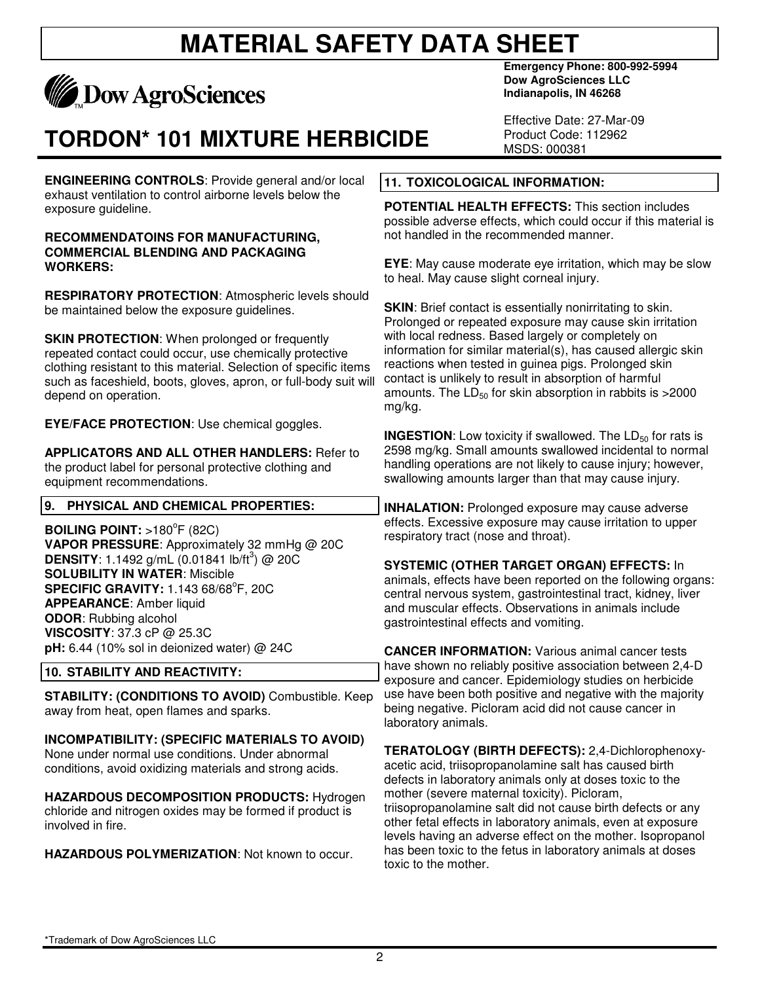

## **TORDON\* 101 MIXTURE HERBICIDE**

**ENGINEERING CONTROLS**: Provide general and/or local exhaust ventilation to control airborne levels below the exposure guideline.

#### **RECOMMENDATOINS FOR MANUFACTURING, COMMERCIAL BLENDING AND PACKAGING WORKERS:**

**RESPIRATORY PROTECTION**: Atmospheric levels should be maintained below the exposure guidelines.

**SKIN PROTECTION:** When prolonged or frequently repeated contact could occur, use chemically protective clothing resistant to this material. Selection of specific items such as faceshield, boots, gloves, apron, or full-body suit will depend on operation.

**EYE/FACE PROTECTION**: Use chemical goggles.

**APPLICATORS AND ALL OTHER HANDLERS:** Refer to the product label for personal protective clothing and equipment recommendations.

### **9. PHYSICAL AND CHEMICAL PROPERTIES:**

**BOILING POINT:** >180<sup>°</sup>F (82C) **VAPOR PRESSURE**: Approximately 32 mmHg @ 20C **DENSITY**:  $1.1492$  g/mL  $(0.01841$  lb/ft<sup>3</sup> $)$  @ 20C **SOLUBILITY IN WATER**: Miscible **SPECIFIC GRAVITY: 1.143 68/68<sup>°</sup>F, 20C APPEARANCE**: Amber liquid **ODOR**: Rubbing alcohol **VISCOSITY**: 37.3 cP @ 25.3C **pH:** 6.44 (10% sol in deionized water) @ 24C

## **10. STABILITY AND REACTIVITY:**

**STABILITY: (CONDITIONS TO AVOID)** Combustible. Keep away from heat, open flames and sparks.

**INCOMPATIBILITY: (SPECIFIC MATERIALS TO AVOID)** None under normal use conditions. Under abnormal conditions, avoid oxidizing materials and strong acids.

**HAZARDOUS DECOMPOSITION PRODUCTS:** Hydrogen chloride and nitrogen oxides may be formed if product is involved in fire.

**HAZARDOUS POLYMERIZATION**: Not known to occur.

**Emergency Phone: 800-992-5994 Dow AgroSciences LLC Indianapolis, IN 46268** 

Effective Date: 27-Mar-09 Product Code: 112962 MSDS: 000381

### **11. TOXICOLOGICAL INFORMATION:**

**POTENTIAL HEALTH EFFECTS:** This section includes possible adverse effects, which could occur if this material is not handled in the recommended manner.

**EYE**: May cause moderate eye irritation, which may be slow to heal. May cause slight corneal injury.

**SKIN:** Brief contact is essentially nonirritating to skin. Prolonged or repeated exposure may cause skin irritation with local redness. Based largely or completely on information for similar material(s), has caused allergic skin reactions when tested in guinea pigs. Prolonged skin contact is unlikely to result in absorption of harmful amounts. The  $LD_{50}$  for skin absorption in rabbits is  $>2000$ mg/kg.

**INGESTION:** Low toxicity if swallowed. The LD<sub>50</sub> for rats is 2598 mg/kg. Small amounts swallowed incidental to normal handling operations are not likely to cause injury; however, swallowing amounts larger than that may cause injury.

**INHALATION:** Prolonged exposure may cause adverse effects. Excessive exposure may cause irritation to upper respiratory tract (nose and throat).

**SYSTEMIC (OTHER TARGET ORGAN) EFFECTS:** In animals, effects have been reported on the following organs: central nervous system, gastrointestinal tract, kidney, liver

and muscular effects. Observations in animals include gastrointestinal effects and vomiting.

**CANCER INFORMATION:** Various animal cancer tests have shown no reliably positive association between 2,4-D exposure and cancer. Epidemiology studies on herbicide use have been both positive and negative with the majority being negative. Picloram acid did not cause cancer in laboratory animals.

**TERATOLOGY (BIRTH DEFECTS):** 2,4-Dichlorophenoxyacetic acid, triisopropanolamine salt has caused birth defects in laboratory animals only at doses toxic to the mother (severe maternal toxicity). Picloram, triisopropanolamine salt did not cause birth defects or any other fetal effects in laboratory animals, even at exposure levels having an adverse effect on the mother. Isopropanol has been toxic to the fetus in laboratory animals at doses toxic to the mother.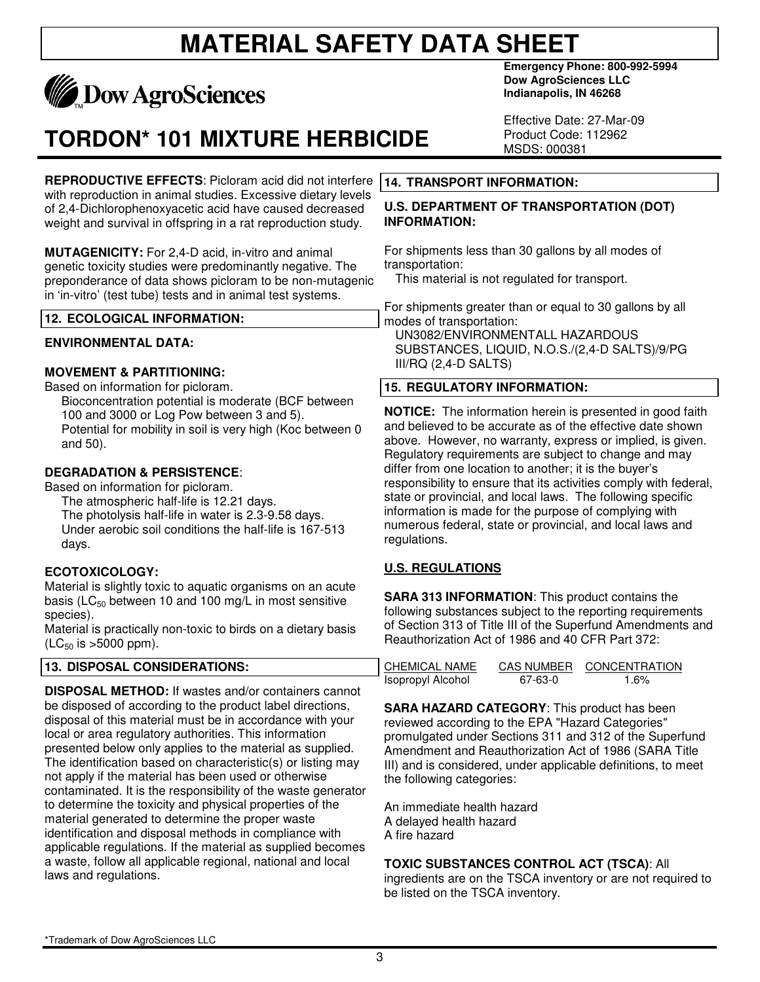

# **TORDON\* 101 MIXTURE HERBICIDE**

**REPRODUCTIVE EFFECTS**: Picloram acid did not interfere with reproduction in animal studies. Excessive dietary levels of 2,4-Dichlorophenoxyacetic acid have caused decreased weight and survival in offspring in a rat reproduction study.

**MUTAGENICITY:** For 2,4-D acid, in-vitro and animal genetic toxicity studies were predominantly negative. The preponderance of data shows picloram to be non-mutagenic in 'in-vitro' (test tube) tests and in animal test systems.

### **12. ECOLOGICAL INFORMATION:**

#### **ENVIRONMENTAL DATA:**

### **MOVEMENT & PARTITIONING:**

Based on information for picloram. Bioconcentration potential is moderate (BCF between 100 and 3000 or Log Pow between 3 and 5). Potential for mobility in soil is very high (Koc between 0 and 50).

### **DEGRADATION & PERSISTENCE**:

Based on information for picloram.

The atmospheric half-life is 12.21 days. The photolysis half-life in water is 2.3-9.58 days. Under aerobic soil conditions the half-life is 167-513 days.

### **ECOTOXICOLOGY:**

Material is slightly toxic to aquatic organisms on an acute basis ( $LC_{50}$  between 10 and 100 mg/L in most sensitive species).

Material is practically non-toxic to birds on a dietary basis  $(LC_{50}$  is  $>5000$  ppm).

#### **13. DISPOSAL CONSIDERATIONS:**

**DISPOSAL METHOD:** If wastes and/or containers cannot be disposed of according to the product label directions, disposal of this material must be in accordance with your local or area regulatory authorities. This information presented below only applies to the material as supplied. The identification based on characteristic(s) or listing may not apply if the material has been used or otherwise contaminated. It is the responsibility of the waste generator to determine the toxicity and physical properties of the material generated to determine the proper waste identification and disposal methods in compliance with applicable regulations. If the material as supplied becomes a waste, follow all applicable regional, national and local laws and regulations.

**Emergency Phone: 800-992-5994 Dow AgroSciences LLC Indianapolis, IN 46268** 

Effective Date: 27-Mar-09 Product Code: 112962 MSDS: 000381

#### **14. TRANSPORT INFORMATION:**

#### **U.S. DEPARTMENT OF TRANSPORTATION (DOT) INFORMATION:**

For shipments less than 30 gallons by all modes of transportation:

This material is not regulated for transport.

For shipments greater than or equal to 30 gallons by all modes of transportation: UN3082/ENVIRONMENTALL HAZARDOUS SUBSTANCES, LIQUID, N.O.S./(2,4-D SALTS)/9/PG III/RQ (2,4-D SALTS)

### **15. REGULATORY INFORMATION:**

**NOTICE:** The information herein is presented in good faith and believed to be accurate as of the effective date shown above. However, no warranty, express or implied, is given. Regulatory requirements are subject to change and may differ from one location to another; it is the buyer's responsibility to ensure that its activities comply with federal, state or provincial, and local laws. The following specific information is made for the purpose of complying with numerous federal, state or provincial, and local laws and regulations.

### **U.S. REGULATIONS**

**SARA 313 INFORMATION**: This product contains the following substances subject to the reporting requirements of Section 313 of Title III of the Superfund Amendments and Reauthorization Act of 1986 and 40 CFR Part 372:

| CHEMICAL NAME     | <b>CAS NUMBER</b> | <b>CONCENTRATION</b> |
|-------------------|-------------------|----------------------|
| Isopropyl Alcohol | 67-63-0           | 1.6%                 |

**SARA HAZARD CATEGORY**: This product has been reviewed according to the EPA "Hazard Categories" promulgated under Sections 311 and 312 of the Superfund Amendment and Reauthorization Act of 1986 (SARA Title III) and is considered, under applicable definitions, to meet the following categories:

An immediate health hazard A delayed health hazard A fire hazard

#### **TOXIC SUBSTANCES CONTROL ACT (TSCA)**: All

ingredients are on the TSCA inventory or are not required to be listed on the TSCA inventory.